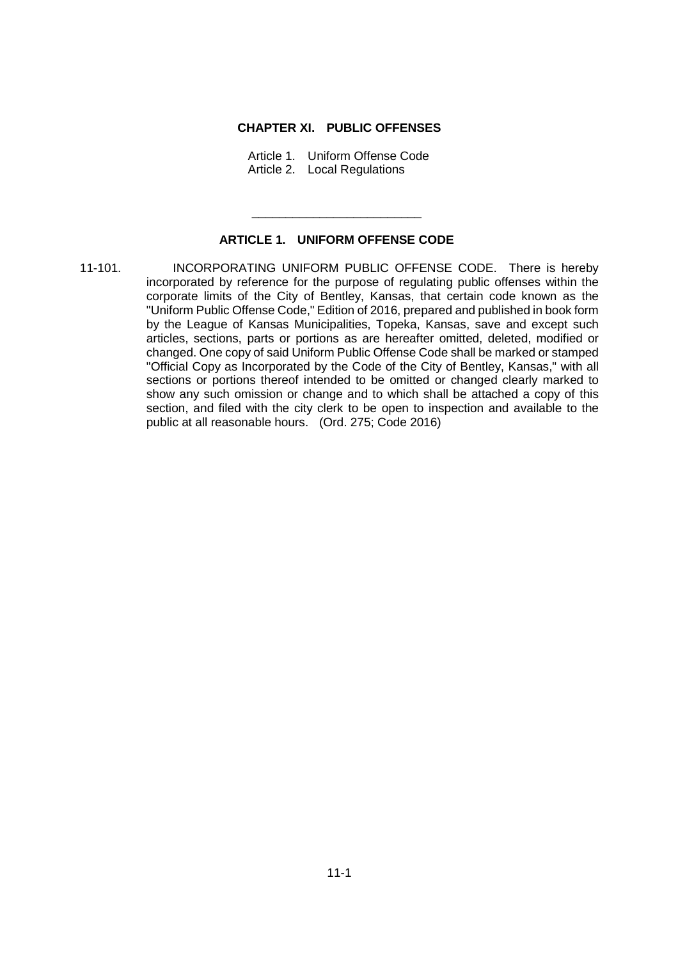## **CHAPTER XI. PUBLIC OFFENSES**

Article 1. Uniform Offense Code Article 2. Local Regulations

## **ARTICLE 1. UNIFORM OFFENSE CODE**

\_\_\_\_\_\_\_\_\_\_\_\_\_\_\_\_\_\_\_\_\_\_\_\_\_

11-101. INCORPORATING UNIFORM PUBLIC OFFENSE CODE. There is hereby incorporated by reference for the purpose of regulating public offenses within the corporate limits of the City of Bentley, Kansas, that certain code known as the "Uniform Public Offense Code," Edition of 2016, prepared and published in book form by the League of Kansas Municipalities, Topeka, Kansas, save and except such articles, sections, parts or portions as are hereafter omitted, deleted, modified or changed. One copy of said Uniform Public Offense Code shall be marked or stamped "Official Copy as Incorporated by the Code of the City of Bentley, Kansas," with all sections or portions thereof intended to be omitted or changed clearly marked to show any such omission or change and to which shall be attached a copy of this section, and filed with the city clerk to be open to inspection and available to the public at all reasonable hours. (Ord. 275; Code 2016)